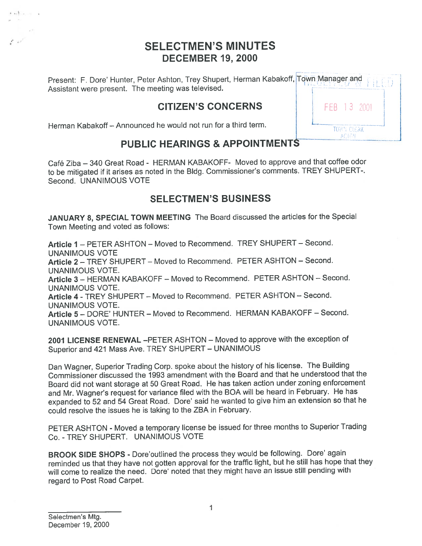# **SELECTMEN'S MINUTES DECEMBER 19, 2000**

Present: F. Dore' Hunter, Peter Ashton, Trey Shupert, Herman Kabakoff, Town Manager and Assistant were present. The meeting was televised.

FFR 13 2001

TOWN CLERK **ACTON** 

# **CITIZEN'S CONCERNS**

Herman Kabakoff - Announced he would not run for a third term.

 $.........$ 

# PUBLIC HEARINGS & APPOINTMENTS

Café Ziba - 340 Great Road - HERMAN KABAKOFF- Moved to approve and that coffee odor to be mitigated if it arises as noted in the Bldg. Commissioner's comments. TREY SHUPERT-. Second. UNANIMOUS VOTE

# **SELECTMEN'S BUSINESS**

JANUARY 8, SPECIAL TOWN MEETING The Board discussed the articles for the Special Town Meeting and voted as follows:

Article 1 - PETER ASHTON - Moved to Recommend. TREY SHUPERT - Second. **UNANIMOUS VOTE** Article 2 - TREY SHUPERT - Moved to Recommend. PETER ASHTON - Second. **UNANIMOUS VOTE.** Article 3 - HERMAN KABAKOFF - Moved to Recommend. PETER ASHTON - Second. **UNANIMOUS VOTE.** Article 4 - TREY SHUPERT - Moved to Recommend. PETER ASHTON - Second. **UNANIMOUS VOTE.** Article 5 - DORE' HUNTER - Moved to Recommend. HERMAN KABAKOFF - Second. **UNANIMOUS VOTE.** 

2001 LICENSE RENEWAL -PETER ASHTON - Moved to approve with the exception of Superior and 421 Mass Ave. TREY SHUPERT - UNANIMOUS

Dan Wagner, Superior Trading Corp. spoke about the history of his license. The Building Commissioner discussed the 1993 amendment with the Board and that he understood that the Board did not want storage at 50 Great Road. He has taken action under zoning enforcement and Mr. Wagner's request for variance filed with the BOA will be heard in February. He has expanded to 52 and 54 Great Road. Dore' said he wanted to give him an extension so that he could resolve the issues he is taking to the ZBA in February.

PETER ASHTON - Moved a temporary license be issued for three months to Superior Trading Co. - TREY SHUPERT. UNANIMOUS VOTE

BROOK SIDE SHOPS - Dore'outlined the process they would be following. Dore' again reminded us that they have not gotten approval for the traffic light, but he still has hope that they will come to realize the need. Dore' noted that they might have an issue still pending with regard to Post Road Carpet.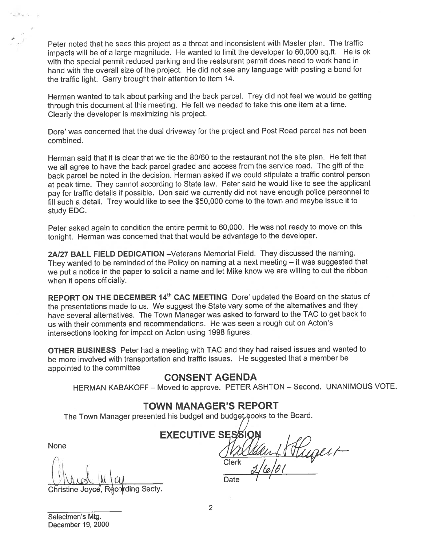Peter noted that he sees this project as <sup>a</sup> threat and inconsistent with Master <sup>p</sup>lan. The traffic impacts will be of <sup>a</sup> large magnitude. He wanted to limit the developer to 60,000 sq.ft. He is ok with the special permit reduced parking and the restaurant permit does need to work hand in hand with the overall size of the project. He did not see any language with posting <sup>a</sup> bond for the traffic light. Garry brought their attention to item 14.

Herman wanted to talk about parking and the back parcel. Trey did not feel we would be getting through this document at this meeting. He felt we needed to take this one item at <sup>a</sup> time. Clearly the developer is maximizing his project.

Dote' was concerned that the dual driveway for the project and Post Road parce<sup>l</sup> has not been combined.

Herman said that it is clear that we tie the 80/60 to the restaurant not the site plan. He felt that we all agree to have the back parce<sup>l</sup> graded and access from the service road. The <sup>g</sup>ift of the back parce<sup>l</sup> be noted in the decision. Herman asked if we could stipulate <sup>a</sup> traffic control person at pea<sup>k</sup> time. They cannot according to State law. Peter said he would like to see the applicant pay for traffic details if possible. Don said we currently did not have enoug<sup>h</sup> police personne<sup>l</sup> to fill such <sup>a</sup> detail. Trey would like to see the \$50,000 come to the town and maybe issue it to study EDC.

Peter asked again to condition the entire permit to 60,000. He was not ready to move on this tonight. Herman was concerned that that would be advantage to the developer.

2A127 BALL FIELD DEDICATION —Veterans Memorial Field. They discussed the naming. They wanted to be reminded of the Policy on naming at <sup>a</sup> next meeting — it was suggested that we pu<sup>t</sup> <sup>a</sup> notice in the paper to solicit <sup>a</sup> name and let Mike know we are willing to cut the ribbon when it opens officially.

REPORT ON THE DECEMBER 14<sup>th</sup> CAC MEETING Dore' updated the Board on the status of the presentations made to us. We sugges<sup>t</sup> the State vary some of the alternatives and they have several alternatives. The Town Manager was asked to forward to the TAC to ge<sup>t</sup> back to us with their comments and recommendations. He was seen <sup>a</sup> rough cut on Acton's intersections looking for impact on Acton using 1998 figures.

OTHER BUSINESS Peter had <sup>a</sup> meeting with TAC and they had raised issues and wanted to be more involved with transportation and traffic issues. He suggested that <sup>a</sup> member be appointed to the committee

## CONSENT AGENDA

HERMAN KABAKOFF — Moved to approve. PETER ASHTON — Second. UNANIMOUS VOTE.

# TOWN MANAGER'S REPORT

The Town Manager presented his budget and budget books to the Board.

None

r

Christine Joyce, Recording Secty.

EXECUTIVE S Hugert Clerk Date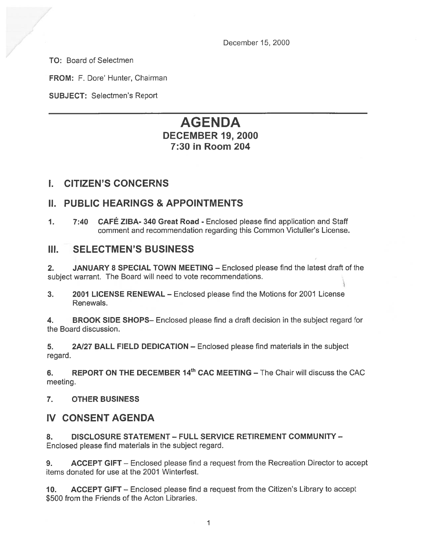December 15, 2000

TO: Board of Selectmen

FROM: F. Dore' Hunter, Chairman

SUBJECT: Selectmen's Report

# AGENDA DECEMBER 19, 2000 7:30 in Room 204

# I. CITIZEN'S CONCERNS

## N. PUBLIC HEARINGS & APPOINTMENTS

1. 7:40 CAFÉ ZIBA- <sup>340</sup> Great Road - Enclosed <sup>p</sup>lease find application and Staff comment and recommendation regarding this Common Victuller's License.

# III. SELECTMEN'S BUSINESS

2. JANUARY 8 SPECIAL TOWN MEETING — Enclosed please find the latest draft of the subject warrant. The Board will need to vote recommendations.

3. 2001 LICENSE RENEWAL — Enclosed please find the Motions for 2001 License Renewals.

4. BROOK SIDE SHOPS— Enclosed please find <sup>a</sup> draft decision in the subject regard for the Board discussion.

5. 2A/27 BALL FIELD DEDICATION - Enclosed please find materials in the subject regard.

6. REPORT ON THE DECEMBER  $14<sup>th</sup>$  CAC MEETING – The Chair will discuss the CAC meeting.

### 7. OTHER BUSINESS

# IV CONSENT AGENDA

8. DISCLOSURE STATEMENT — FULL SERVICE RETIREMENT COMMUNITY — Enclosed please find materials in the subject regard.

9. ACCEPT GIFT – Enclosed please find a request from the Recreation Director to accept items donated for use at the 2001 Winterfest.

10. ACCEPT GIFT – Enclosed please find a request from the Citizen's Library to accept \$500 from the Friends of the Acton Libraries.